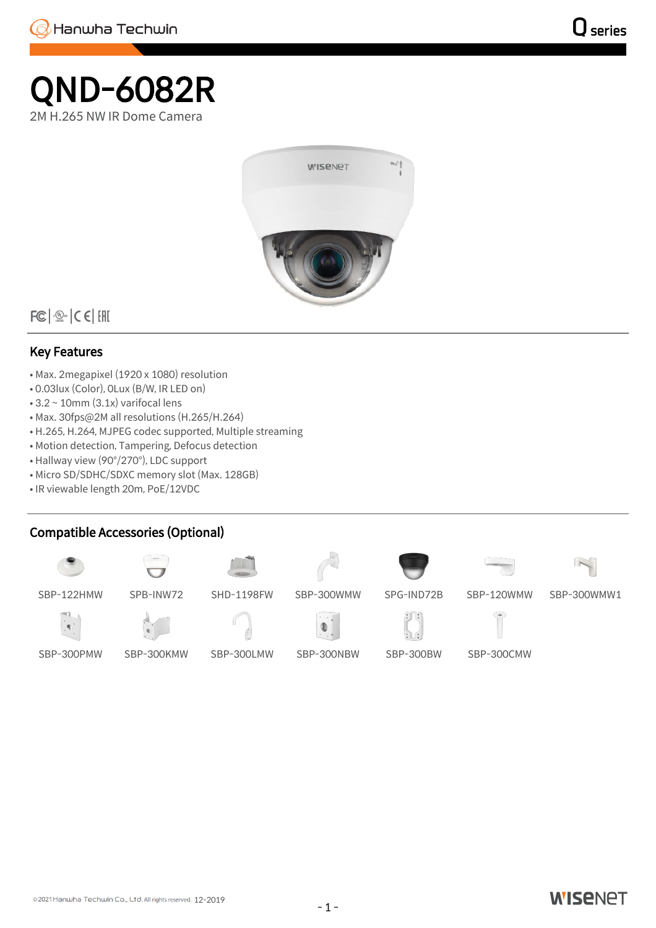# QND-6082R 2M H.265 NW IR Dome Camera



 $|FC|$   $\frac{1}{2}$   $C$   $C$   $|CHI|$ 

## Key Features

- Max. 2megapixel (1920 x 1080) resolution
- 0.03lux (Color), 0Lux (B/W, IR LED on)
- 3.2 ~ 10mm (3.1x) varifocal lens
- Max. 30fps@2M all resolutions (H.265/H.264)
- H.265, H.264, MJPEG codec supported, Multiple streaming
- Motion detection, Tampering, Defocus detection
- Hallway view (90°/270°), LDC support
- Micro SD/SDHC/SDXC memory slot (Max. 128GB)
- IR viewable length 20m, PoE/12VDC

# Compatible Accessories (Optional)





SBP-300PMW SBP-300KMW SBP-300LMW SBP-300NBW SBP-300BW SBP-300CMW



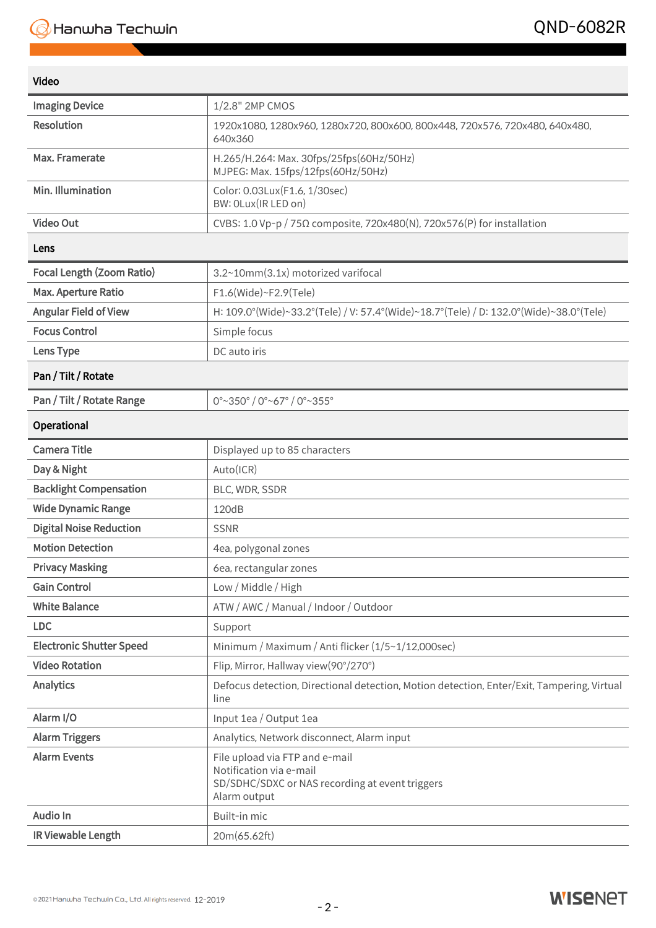## Video

| <b>Imaging Device</b>            | 1/2.8" 2MP CMOS                                                                                                              |
|----------------------------------|------------------------------------------------------------------------------------------------------------------------------|
| <b>Resolution</b>                | 1920x1080, 1280x960, 1280x720, 800x600, 800x448, 720x576, 720x480, 640x480,<br>640x360                                       |
| Max. Framerate                   | H.265/H.264: Max. 30fps/25fps(60Hz/50Hz)<br>MJPEG: Max. 15fps/12fps(60Hz/50Hz)                                               |
| Min. Illumination                | Color: 0.03Lux(F1.6, 1/30sec)<br>BW: OLux(IR LED on)                                                                         |
| <b>Video Out</b>                 | CVBS: 1.0 Vp-p / 75Ω composite, 720x480(N), 720x576(P) for installation                                                      |
| Lens                             |                                                                                                                              |
| <b>Focal Length (Zoom Ratio)</b> | 3.2~10mm(3.1x) motorized varifocal                                                                                           |
| Max. Aperture Ratio              | F1.6(Wide)~F2.9(Tele)                                                                                                        |
| <b>Angular Field of View</b>     | H: 109.0°(Wide)~33.2°(Tele) / V: 57.4°(Wide)~18.7°(Tele) / D: 132.0°(Wide)~38.0°(Tele)                                       |
| <b>Focus Control</b>             | Simple focus                                                                                                                 |
| Lens Type                        | DC auto iris                                                                                                                 |
| Pan / Tilt / Rotate              |                                                                                                                              |
| Pan / Tilt / Rotate Range        | $0^{\circ}$ ~350 $^{\circ}$ / 0 $^{\circ}$ ~67 $^{\circ}$ / 0 $^{\circ}$ ~355 $^{\circ}$                                     |
| Operational                      |                                                                                                                              |
| <b>Camera Title</b>              | Displayed up to 85 characters                                                                                                |
| Day & Night                      | Auto(ICR)                                                                                                                    |
| <b>Backlight Compensation</b>    | BLC, WDR, SSDR                                                                                                               |
| <b>Wide Dynamic Range</b>        | 120dB                                                                                                                        |
| <b>Digital Noise Reduction</b>   | <b>SSNR</b>                                                                                                                  |
| <b>Motion Detection</b>          | 4ea, polygonal zones                                                                                                         |
| <b>Privacy Masking</b>           | 6ea, rectangular zones                                                                                                       |
| <b>Gain Control</b>              | Low / Middle / High                                                                                                          |
| <b>White Balance</b>             | ATW / AWC / Manual / Indoor / Outdoor                                                                                        |
| <b>LDC</b>                       | Support                                                                                                                      |
| <b>Electronic Shutter Speed</b>  | Minimum / Maximum / Anti flicker (1/5~1/12,000sec)                                                                           |
| <b>Video Rotation</b>            | Flip, Mirror, Hallway view(90°/270°)                                                                                         |
| <b>Analytics</b>                 | Defocus detection, Directional detection, Motion detection, Enter/Exit, Tampering, Virtual<br>line                           |
| Alarm I/O                        | Input 1ea / Output 1ea                                                                                                       |
| <b>Alarm Triggers</b>            | Analytics, Network disconnect, Alarm input                                                                                   |
| <b>Alarm Events</b>              | File upload via FTP and e-mail<br>Notification via e-mail<br>SD/SDHC/SDXC or NAS recording at event triggers<br>Alarm output |
| Audio In                         | Built-in mic                                                                                                                 |
| IR Viewable Length               | 20m(65.62ft)                                                                                                                 |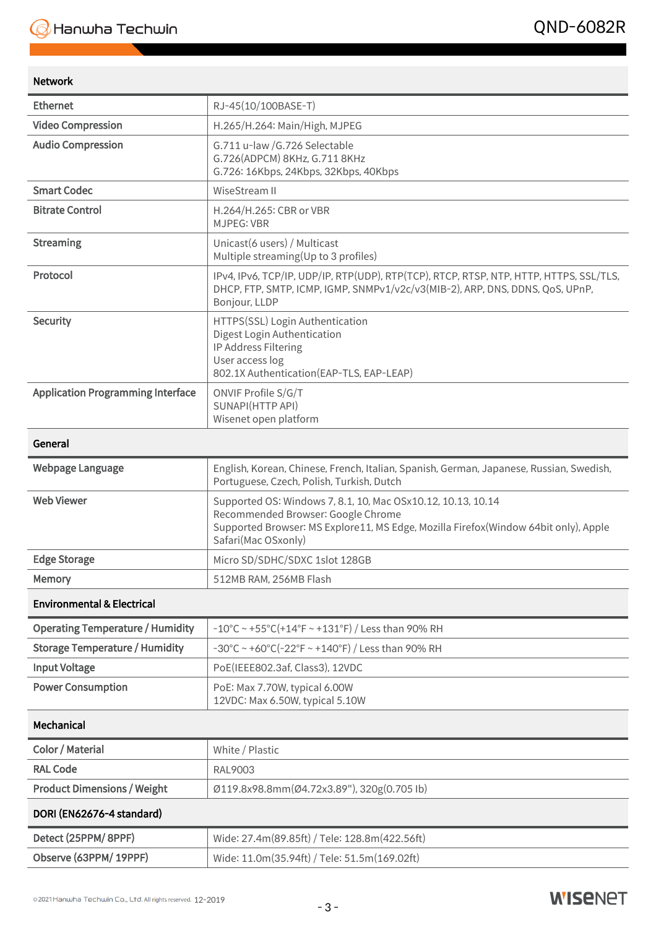## Network

| <b>Ethernet</b>                          | RJ-45(10/100BASE-T)                                                                                                                                                                                              |
|------------------------------------------|------------------------------------------------------------------------------------------------------------------------------------------------------------------------------------------------------------------|
| <b>Video Compression</b>                 | H.265/H.264: Main/High, MJPEG                                                                                                                                                                                    |
| <b>Audio Compression</b>                 | G.711 u-law /G.726 Selectable<br>G.726(ADPCM) 8KHz, G.711 8KHz<br>G.726: 16Kbps, 24Kbps, 32Kbps, 40Kbps                                                                                                          |
| <b>Smart Codec</b>                       | WiseStream II                                                                                                                                                                                                    |
| <b>Bitrate Control</b>                   | H.264/H.265: CBR or VBR<br><b>MJPEG: VBR</b>                                                                                                                                                                     |
| <b>Streaming</b>                         | Unicast(6 users) / Multicast<br>Multiple streaming(Up to 3 profiles)                                                                                                                                             |
| Protocol                                 | IPv4, IPv6, TCP/IP, UDP/IP, RTP(UDP), RTP(TCP), RTCP, RTSP, NTP, HTTP, HTTPS, SSL/TLS,<br>DHCP, FTP, SMTP, ICMP, IGMP, SNMPv1/v2c/v3(MIB-2), ARP, DNS, DDNS, QoS, UPnP,<br>Bonjour, LLDP                         |
| Security                                 | HTTPS(SSL) Login Authentication<br>Digest Login Authentication<br>IP Address Filtering<br>User access log<br>802.1X Authentication(EAP-TLS, EAP-LEAP)                                                            |
| <b>Application Programming Interface</b> | ONVIF Profile S/G/T<br>SUNAPI(HTTP API)<br>Wisenet open platform                                                                                                                                                 |
| General                                  |                                                                                                                                                                                                                  |
| <b>Webpage Language</b>                  | English, Korean, Chinese, French, Italian, Spanish, German, Japanese, Russian, Swedish,<br>Portuguese, Czech, Polish, Turkish, Dutch                                                                             |
| <b>Web Viewer</b>                        | Supported OS: Windows 7, 8.1, 10, Mac OSx10.12, 10.13, 10.14<br>Recommended Browser: Google Chrome<br>Supported Browser: MS Explore11, MS Edge, Mozilla Firefox(Window 64bit only), Apple<br>Safari(Mac OSxonly) |
| <b>Edge Storage</b>                      | Micro SD/SDHC/SDXC 1slot 128GB                                                                                                                                                                                   |
| Memory                                   | 512MB RAM, 256MB Flash                                                                                                                                                                                           |

#### Environmental & Electrical

| <b>Operating Temperature / Humidity</b> | $-10^{\circ}$ C ~ +55 $^{\circ}$ C(+14 $^{\circ}$ F ~ +131 $^{\circ}$ F) / Less than 90% RH |
|-----------------------------------------|---------------------------------------------------------------------------------------------|
| <b>Storage Temperature / Humidity</b>   | $-30^{\circ}$ C ~ +60°C(-22°F ~ +140°F) / Less than 90% RH                                  |
| Input Voltage                           | PoE(IEEE802.3af, Class3), 12VDC                                                             |
| <b>Power Consumption</b>                | PoE: Max 7.70W, typical 6.00W<br>12VDC: Max 6.50W, typical 5.10W                            |

## Mechanical

| Color / Material                   | White / Plastic                               |  |
|------------------------------------|-----------------------------------------------|--|
| <b>RAL Code</b>                    | RAL9003                                       |  |
| <b>Product Dimensions / Weight</b> | Ø119.8x98.8mm(Ø4.72x3.89"), 320g(0.705 lb)    |  |
| DORI (EN62676-4 standard)          |                                               |  |
| Detect (25PPM/8PPF)                | Wide: 27.4m(89.85ft) / Tele: 128.8m(422.56ft) |  |
| Observe (63PPM/19PPF)              | Wide: 11.0m(35.94ft) / Tele: 51.5m(169.02ft)  |  |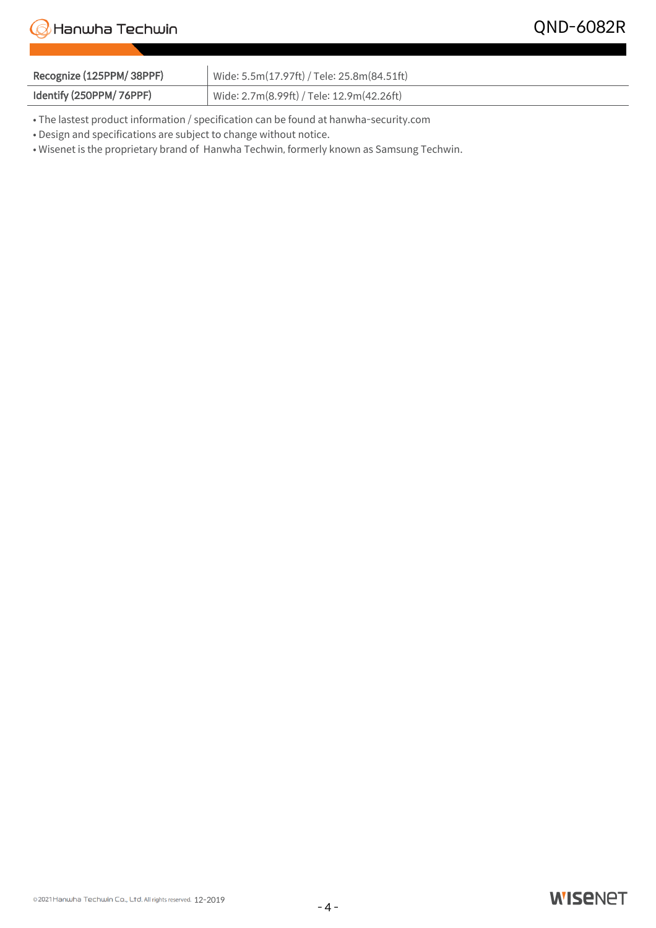| Recognize (125PPM/38PPF) | Wide: 5.5m(17.97ft) / Tele: 25.8m(84.51ft) |
|--------------------------|--------------------------------------------|
| Identify (250PPM/ 76PPF) | Wide: 2.7m(8.99ft) / Tele: 12.9m(42.26ft)  |

• The lastest product information / specification can be found at hanwha-security.com

• Design and specifications are subject to change without notice.

• Wisenet is the proprietary brand of Hanwha Techwin, formerly known as Samsung Techwin.